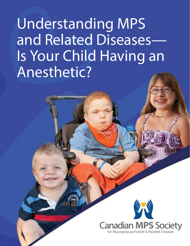# **Understanding MPS and Related Diseases— Is Your Child Having an Anesthetic?**

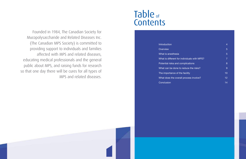Founded in 1984, The Canadian Society for Mucopolysaccharide and Related Diseases Inc. (The Canadian MPS Society) is committed to providing support to individuals and families affected with MPS and related diseases, educating medical professionals and the general public about MPS, and raising funds for research so that one day there will be cures for all types of MPS and related diseases.

## Table of **Contents**

**Introduction Overview** What is anesthesia What is different for Potential riska and c What can be done to The importance of the What does the overal **Conclusion** 

|                              | 4              |  |
|------------------------------|----------------|--|
|                              | 5              |  |
|                              | 5              |  |
| <b>Individuals with MPS?</b> | $\overline{7}$ |  |
| omplications                 | 8              |  |
| reduce the risks?            | 9              |  |
| e facility                   | 10             |  |
| Ill process involve?         | 12             |  |
|                              | 14             |  |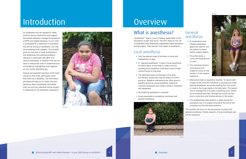## Introduction

An anesthetic may be required to safely perform various treatments and surgical procedures offered to manage the symptoms of MPS and related diseases. If your child is scheduled for a treatment or procedure and will be having an anesthetic, you may be wondering what happens. This booklet gives an overview of what anesthesia is, and addresses the potential problems relevant to individuals with MPS who receive anesthesia. It explains what can be done to reduce the risks of anesthesia and concludes by highlighting what happens on any routine operating day.

Parents are essential members of the team caring for their child, particularly when that child has a disability. The information provided will help you to make informed decisions about anesthesia, and assist both you and the individual having surgery in preparing for the anesthetic experience.



- Mechanical help is required to breathe. To assure safe oxygen levels while the individual is unconscious under general anesthesia, the airway leading from the mouth or nose to the lungs needs to be kept open. The typical way to manage this is to pass a breathing tube, known as an endotracheal tube, through the mouth into the larynx (voice box) and trachea (airway to the lungs).
- The endotracheal tube remains in place during the procedure, but it is usually removed at the end of the procedure as the individual awakens.

#### General anesthesia

- IV medications and inhaled anesthesia gases are used to "put the patient to sleep" before surgery begins.
- The entire body is numb and experiences no pain.
- The individual remains unconscious and unable to move for the duration of the medical treatment.



This booklet will focus on the procedures involved with general anesthesia. Certain aspects of local anesthesia also will be explained.



*Anisa*

#### *Monika*

### What is anesthesia?

"Anesthesia" means a loss of feeling, particularly to the sensations of pain and touch. The term refers to the use of medication that temporarily suppresses these sensations during surgery. There are two main types of anesthesia:

### Local anesthesia

- Only the relevant area of the body is numb and experiences no pain.
- In "regional anesthesia," a type of local anesthesia, an entire region of the body is made numb by injecting local anesthetic medication around major nerves that go to that area.
- The individual does not feel pain in this area, but remains awake and may be aware of what is going on. Sedative medications are often given to patients receiving a local anesthetic helping to minimize awareness and create a state of relaxation and sleepiness.
- No breathing assistance is required.
- Local anesthesia is sometimes combined with general anesthesia.



*Kushala*

## **Overview**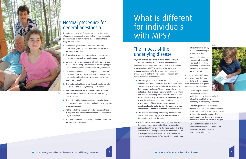

### Normal procedure for general anesthesia

To understand how MPS has an impact on the delivery of general anesthesia, it is best to first review the basic steps involved in administering a general anesthetic. They are as follows:

- **1.** Anesthesia gas delivered by a face mask or a medication given by injection is used to make the individual go to sleep.
- **2.** A muscle relaxant is introduced which paralyzes the muscles, including the muscles used to breathe.
- **3.** Oxygen is given by squeezing a bag linked to a face mask. This is a temporary means of providing oxygen until a breathing tube (endotracheal tube) is inserted.
- **4.** An instrument known as a laryngoscope is passed over the tongue and down the back of the throat so the anesthesiologist can view the entrance to the larynx (voice box).
- **5.** The endotracheal tube is put through the larynx into the trachea and the laryngoscope is removed.
- **6.** The endotracheal tube is connected to a machine (ventilator) that breathes for the individual during the procedure.
- **7.** The individual is continuously given anesthesia gas and oxygen through the endotracheal tube to maintain unconsciousness.
- **8.** At the end of the surgical procedure the anesthetic is stopped. The individual awakens as the anesthetic begins wearing off.
- **9.** The endotracheal tube is usually removed before the individual is fully awake.

*Elisa*



*Sophie*

### The impact of the underlying disease

Anything that makes it difficult for an anesthesiologist to perform the steps required to deliver anesthesia will increase the risks associated with a medical intervention. In individuals with MPS, the effect of the storage of glycosaminoglycans (GAGs) in many soft tissues and organs, as well as the effects on bone formation, can create difficulties. For example:

- The storage of GAGs narrows the nasal passages; enlarges the tonsils, adenoids, lips and tongue; and causes loose, extra tissue and thick secretions to form around the larynx. These problems have the collective effect of causing airway obstruction, which can present as snoring when the individual is asleep. When severe, it may cause obstructive sleep apnea where the individual stops breathing for short periods while sleeping. These airway problems decrease the anesthesiologist's ability to view the larynx, and can make insertion of the endotracheal tube very difficult.
- The muscle relaxation produced by anesthetic premedications and/or by general anesthesia leads to further obstruction of the airway.
- A stiff cervical spine (neck region of the spine) and the possibility of spine instability may prevent an anesthesiologist from placing the head and neck of the individual in the best position to view the larynx. The limited jaw movement and short neck sometimes seen in individuals with MPS make it that much more • Spine deformities seen in many individuals with MPS can restrict the volume of the lungs causing pulmonary dysfunction.

difficult for even a very skilled anesthesiologist to see the larynx.

• Airway difficulties increase with age of the individual, most likely secondary to continuous infiltration of GAGs in the soft tissue.

Individuals with MPS have other symptoms that can contribute to the increased risks associated with general anesthesia. For example:

• The storage of GAGs



- causes joint stiffness and thick skin, which can make it difficult to establish an IV line, especially in emergency situations.
- The storage of GAGs in the heart muscle, heart valves and blood vessels of the heart can add to the overall burden to the cardiovascular system. The heart muscle may become sensitive to anesthetics and/or low levels of oxygen.

# What is different for individuals with MPS?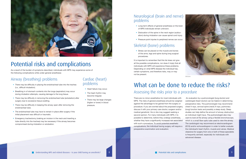### Airway (breathing) problems

- There may be difficulty in placing the endotracheal tube into the trachea (i.e., difficult intubation).
- Breathing in of stomach contents into the lungs (aspiration) may occur during intubation attempts, causing damage to the lung tissue.
- There may be difficulty in removing the endotracheal tube (extubation) after surgery due to excessive tissue swelling.
- There may be difficulty in keeping the airway open after removing the endotracheal tube.
- The endotracheal tube may have to remain in place after surgery if the initial placement was difficult or traumatic.
- Emergency tracheotomy (making an incision in the neck and inserting a tube directly into the trachea) may be necessary if the airway becomes compromised during intubation or extubation.
- Long-term effects of general anesthesia on the brain of MPS individuals remain unknown.
- Dislocation of the spine in the neck region (subluxation) during intubation can cause spinal cord injury.
- Pressure point injuries to peripheral nerves can occur.

### Cardiac (heart) problems

### What can be done to reduce the risks? Assessing the risks prior to a procedure

- Heart failure may occur.
- The heart rhythm may become irregular.
- There may be large changes (higher or lower) in blood pressure.

### Neurological (brain and nerve) problems

### Skeletal (bone) problems

• Stress can be placed on the muscle and bones of the arms, legs and spine during long surgical procedures.

It is important to remember that this list does not give all the possible complications, nor does it imply that all individuals with MPS will experience these problems. Depending on what MPS disease the individual has, certain symptoms, and therefore risks, may or may not be present.



*Melanie*



*Jasper*

## Potential risks and complications

As a result of the burden of symptoms described, individuals with MPS may experience some of the following complications while under general anesthesia:

> There are no minor anesthetics for most individuals with MPS. The risks of general anesthesia should be weighed against the advantage to be gained from the surgery or procedure. If you are worried about the proposed surge discuss it with your primary care doctor, surgeon and/or medical geneticist. He or she may suggest seeking a second opinion. For many individuals with MPS, it is possible to determine, before they undergo anesthesia, whether they have a significantly increased risk associate with such a procedure. To avoid potential anesthetic complications, the individual having surgery will require preoperative examination and evaluation.

| J.  | An evaluation by a pulmonologist (lung doctor) and          |
|-----|-------------------------------------------------------------|
| d   | cardiologist (heart doctor) can be helpful in determining   |
|     | preoperative risks. The pulmonologist may recommend         |
| ry, | chest X-rays, cervical spine (neck) X-rays, pulmonary       |
| r   | (lung) function tests and possibly a sleep study. Sleep     |
|     | studies can help define the amount of airway obstruction    |
|     | an individual might have. The pulmonologist also may        |
|     | want to look at the airway using a flexible bronchoscope,   |
| эd  | which is a small fiber-optic tube used to view the airway.  |
|     | The cardiologist may recommend an electrocardiogram         |
| a   | (ECG) and/or echocardiogram in order to better evaluate     |
|     | the individual's heart rhythm, muscle and valves. Medical   |
|     | clearance for surgery from one or both of these specialists |
|     | is frequently advised, especially for individuals with      |
|     | advanced disease.                                           |
|     |                                                             |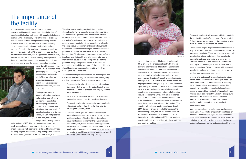## The importance of the facility

For both children and adults with MPS, it is safer to have medical interventions at a major hospital with staff experienced in treating individuals with complicated diseases such as MPS. This usually entails traveling to a regional medical center, children's hospital or university hospital. These facilities have the medical specialists, including pediatric anesthesiologists and medical intensivists, capable of handling the challenging aspects of providing care for individuals with MPS. In addition, these facilities have intensive care units, including pediatric intensive care, required to take care of patients needing prolonged ventilatory (breathing machine) support after surgery. Although outpatient surgery (where the person returns home on the

> same day of the surgery) has become more common in the general population, it may not be suitable for individuals with MPS, even when having a routine procedure or operation. This is especially pertinent for severely affected individuals.

The importance of the anesthesiologist As mentioned earlier in this booklet, there are no minor anesthetics for most people with MPS. Unfortunately, children with MPS have died as a result of anesthesiologists who did not expect, or were not prepared to deal with, the severely compromised airway seen in

individuals with MPS. Planned procedures should always involve careful assessment by a pediatric or general anesthesiologist with appropriate skills and training. In fact, for many surgical procedures, it may be important to select an anesthesiologist even before choosing a surgeon.

- The anesthesiologist will assess the individual and determine whether or not the patient is in the best possible condition to proceed with surgery and the required anesthetic.
- He or she will determine what kind of anesthetic (general vs. local) is best for the given situation.
- The anesthesiologist may prescribe a pre-medication, which is given to sedate the individual prior to entering the operating room.
- The anesthesiologist will determine the degree of monitoring necessary for the particular procedure and health status of the individual. Specialized equipment is used to monitor the patient's heart rate and rhythm, blood pressure and oxygenation. Invasive monitors are occasionally required, where small catheters are placed in an artery or large vein to monitor arterial blood pressure and central blood pressures around the heart, respectively.



Therefore, anesthesiologists should be consulted during the planning process for a surgical intervention. The anesthesiologist should be aware of the affected individual's disease and current health condition. A list of the patient's medications and allergies, as well as any notes or recommendations from specialists involved in the preoperative assessment of the individual, should be provided to the anesthesiologist. All complications or problems from previous anesthetic experiences should be described. This includes problems as simple as fear of injections and dislike of the smell of anesthetic gas, to more serious issues such as postoperative breathing problems and prolonged intubation. In addition, the medical team should be informed of all of the individual's disabilities, including ambulation, mobility, feeding, hearing and vision problems.

- The anesthesiologist will be responsible for monitoring the depth of the patient's anesthesia, for administering IV fluids during surgery, and for determining whether there is a need for prolonged intubation.
- The anesthesiologist might decide that the individual may benefit from a type of local anesthetic known as a regional anesthetic. There are a variety of regional anesthesia options, including spinal anesthesia, epidural anesthesia and peripheral nerve blocks.
- 

The anesthesiologist is responsible for deciding the best method of anesthetizing the person who is undergoing medical intervention. There are several aspects to this:

• As described earlier in this booklet, patients with MPS present the anesthesiologist with difficult airways, and therefore difficult intubations using conventional methods. There are several alternative methods that can be used to establish an airway. As an alternative to intubating a patient with an endotracheal (breathing) tube, the anesthesiologist may opt to place a soft intra-oral device known as a *laryngeal mask airway (LMA)*. The LMA creates an open airway from the mouth to the larynx, is relatively easy to insert, and can be used during general anesthetics for procedures that do not absolutely require securing the airway with an endotracheal tube. If the patient requires an endotracheal tube, a flexible fiber-optic bronchoscope may be used to pass the endotracheal tube into the trachea. The anesthesiologist may use the previously described LMA device to create a conduit for passing the bronchoscope and, in turn, the endotracheal tube. While such techniques have been found to be beneficial for individuals with MPS, they require an anesthesiologist who is skilled with these methods and decision making. Regional anesthetics can be used alone to numb up a region of the body, or in combination with a general anesthetic. When combined with a general anesthetic, regional anesthesia is usually given to provide post-procedural pain relief. • In regional anesthesia, the anesthesiologist injects a local anesthetic medication through a needle or small catheter around various nerves of the body depending on where numbness is desired. For example, when epidural anesthesia is performed, a needle is inserted into the back of the spine through which a small catheter is threaded into the epidural space near the spinal cord. Local anesthetic medication is delivered through this catheter numbing major nerves that go to the chest, abdomen or legs. • Many steps are taken to make the overall process safer. Certain anesthetic drugs might be utilized or avoided. The anesthesiologist will ensure the safe positioning of the individual while they are anesthetized, including stabilization of the cervical spine (neck), padding of pressure points and protection of the eyes.

- 
- 
- 

*Emma Rose*

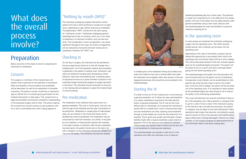### "Nothing by mouth (NPO)"

The individual undergoing surgical intervention will be asked not to eat or drink anything for usually four to eight hours, depending on age, before receiving an anesthetic. The abbreviation "NPO" comes from the Latin saying for "nothing by mouth." Individuals undergoing general anesthesia are at risk of vomiting, which can in turn lead to breathing in of stomach contents, such as food and drink. This complication, known as aspiration, can cause significant damage to the lungs. Its chance of happening can be reduced by having the stomach empty prior to anesthesia, therefore the "NPO" rule.

### Checking in

On the day of surgery, the individual will be admitted to the pre-surgical area where he or she will change into a hospital gown. All of the essential medical documentation is gathered in the patient's medical chart. Admission vital signs are obtained including body temperature, blood pressure, heart rate and breathing rate. A painless piece of equipment known as a pulse oximeter is placed on the individual's finger showing the degree of oxygen saturation in the blood. The individual should remember to bring his or her hearing aids and glasses to assist the medical team in communicating.

### Pre-medication

Pre-medication is the medicine that is given prior to a general anesthetic. This may or not be given, and can vary with the age of the individual and the type of procedure to be performed. Medication is usually given to help people relax, dry up moisture in the mouth and throat, and to facilitate the onset of anesthesia. Pre-medication may be consumed by mouth (for example, via a drink), or be given by an IV injection or intramuscular injection (for example, in the thigh muscles or buttocks). After the pre-medication has been given, the patient should rest on the bed or sit with a caregiver, as the individual will become sedated and may even fall asleep. The individual may become restless



or irritable prior to the medication taking its full effect and, rarely, the medicine may have a reverse effect and make the individual more energetic rather than drowsy. If this has happened previously, this should be communicated to the anesthesiologist.

### Starting the IV

The anesthesiologist may decide to start the IV in the operating room after the individual is put to sleep by

*Nicklas*

breathing anesthesia gas from a face mask. This decision is made only if starting the IV is too difficult for the awake patient, and only if the patient can be safely placed under general anesthesia using a face mask. Discuss with the anesthesiologist the risks and benefits of using this method of starting the IV.

### In the operating room

A nurse always accompanies the individual undergoing surgery into the operating room. The child's favorite stuffed animal, doll or blanket can be taken into the operating room.

It is safer to have an IV line in place prior to commencing a general anesthetic. An IV allows for easy administration of a variety medications required for the safe administration of general anesthesia. The IV may be the most difficult part for individuals, as it requires the individual to remain still for a needle stick. Oral or intramuscular sedative pre-medications can help. Injecting local anesthetic through a small needle can numb the site where the IV is inserted. This is quick and usually well tolerated. Certain facilities might offer a topical anesthetic cream which is applied to the IV site about an hour before its insertion. Unfortunately, this topical cream numbs only the skin and is not beneficial for intramuscular injections. The nurse will estimate how long the individual is likely to be in the operating room. Many parents or caregivers like to go for a walk or have a meal. If the individual is going to the intensive care unit after the procedure, the parent or caregiver may be taken to this ward beforehand. Many operations take longer than planned, and patients usually spend a period of time in the recovery room before going back to their room or being discharged. Parents can obtain updates on the surgical progress by asking personnel at the information desk in the family waiting area.

Depending on the rules of the facility, a parent may be offered the opportunity to accompany their child to the operating room and remain there until he or she is asleep. This will be discussed ahead of time and mutually agreed upon by the anesthesiologist and parent. The parent will be asked to put on a gown and shoe coverings before

going into the sterile operating room.

The anesthesiologist will explain how the procedure will move forward and how the parent can be of assistance. Occasionally, small children can be anesthetized on their parent's lap while the face mask is held on the child's face. Once the child is asleep, the parent will be escorted out of the operating room. It is important to leave quickly, as the anesthesiologist has many things to do to ensure the safety of the child being anesthetized.

## What does the overall process involve?

## Preparation

Below are some of the steps involved in preparing the individual for anesthesia.

### Consent

The surgeon or members of the medical team will explain what is planned for the operation or procedure. Risks and benefits of the procedure and anesthesia will be described, as well as an explanation of possible outcomes. The parent or power of attorney is required to sign an official form of consent giving permission for the medical intervention to take place. This consent form is legal documentation showing the consenter's understanding of the proposed surgery and its risks. The person signing the consent form should continue to ask questions until he or she is comfortable with what is being agreed to.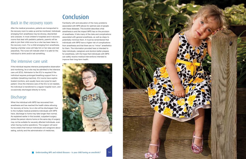### Back in the recovery room

After the medical procedure, patients are transported to the recovery room to wake up and be monitored. Individuals emerging from anesthesia may be drowsy, disoriented and unaware. In most children's hospitals and in recovery rooms that deal with pediatric patients, parents will be able to join their child once he or she has been taken to the recovery room. For a child emerging from anesthesia, hearing a familiar voice will help him or her relax and rest peacefully. The nurse will indicate when it is safe for the individual to drink and/or eat something.

#### The intensive care unit

If the individual requires intensive postoperative observation and monitoring, he or she may be admitted to the intensive care unit (ICU). Admission to the ICU is required if the individual requires prolonged breathing support from a ventilator (breathing machine). ICU rooms have sophis ticated monitors, and usually have one nurse for each patient. Once the intensive care of the ICU is not needed, the individual is transferred to a regular hospital room, and occasionally discharged directly to home.

#### Discharge

When the individual with MPS has recovered from anesthesia and has reached the health status allowing for recovery at home, he or she will be discharged. Due to the multiple medical problems individuals with MPS have, discharge to home may take longer than normal. As explained earlier in this booklet, outpatient surgery (where the person returns home on the same day of surgery) may not be suitable for severely affected individuals, even when having routine operations. The surgeon will send home orders that instruct individuals and caregivers about eating, activity and the administration of medicines.

### Conclusion

Familiarity with and education of the many problems associated with MPS allows for optimal care of people with these diseases. This booklet describes what anesthesia is and the impact MPS has on the provision of anesthesia. It lists many of the risks and complications associated with general anesthesia, as well as steps to potentially minimize them. It must be remembered that individuals with MPS have a higher risk of complications from anesthesia and that there are no "minor" anesthetics for them. The information provided here is intended to help individuals, caregivers and doctors better prepare for anesthesia, with the hope that individuals with MPS can safely receive medical interventions intended to improve their long-term health.





*Isaac*